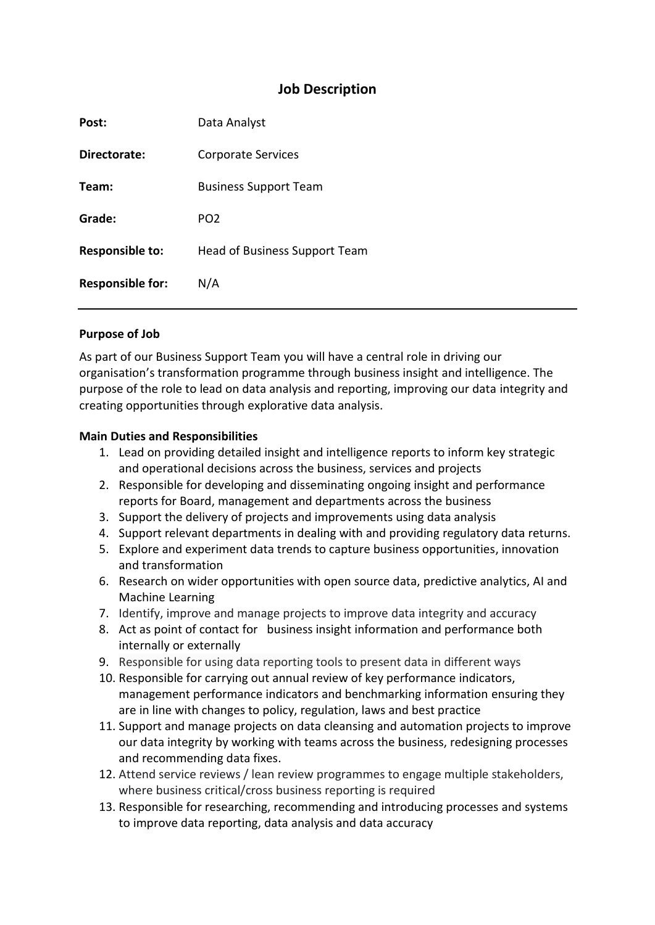## **Job Description**

| Post:                   | Data Analyst                  |
|-------------------------|-------------------------------|
| Directorate:            | <b>Corporate Services</b>     |
| Team:                   | <b>Business Support Team</b>  |
| Grade:                  | PO <sub>2</sub>               |
| <b>Responsible to:</b>  | Head of Business Support Team |
| <b>Responsible for:</b> | N/A                           |
|                         |                               |

#### **Purpose of Job**

As part of our Business Support Team you will have a central role in driving our organisation's transformation programme through business insight and intelligence. The purpose of the role to lead on data analysis and reporting, improving our data integrity and creating opportunities through explorative data analysis.

#### **Main Duties and Responsibilities**

- 1. Lead on providing detailed insight and intelligence reports to inform key strategic and operational decisions across the business, services and projects
- 2. Responsible for developing and disseminating ongoing insight and performance reports for Board, management and departments across the business
- 3. Support the delivery of projects and improvements using data analysis
- 4. Support relevant departments in dealing with and providing regulatory data returns.
- 5. Explore and experiment data trends to capture business opportunities, innovation and transformation
- 6. Research on wider opportunities with open source data, predictive analytics, AI and Machine Learning
- 7. Identify, improve and manage projects to improve data integrity and accuracy
- 8. Act as point of contact for business insight information and performance both internally or externally
- 9. Responsible for using data reporting tools to present data in different ways
- 10. Responsible for carrying out annual review of key performance indicators, management performance indicators and benchmarking information ensuring they are in line with changes to policy, regulation, laws and best practice
- 11. Support and manage projects on data cleansing and automation projects to improve our data integrity by working with teams across the business, redesigning processes and recommending data fixes.
- 12. Attend service reviews / lean review programmes to engage multiple stakeholders, where business critical/cross business reporting is required
- 13. Responsible for researching, recommending and introducing processes and systems to improve data reporting, data analysis and data accuracy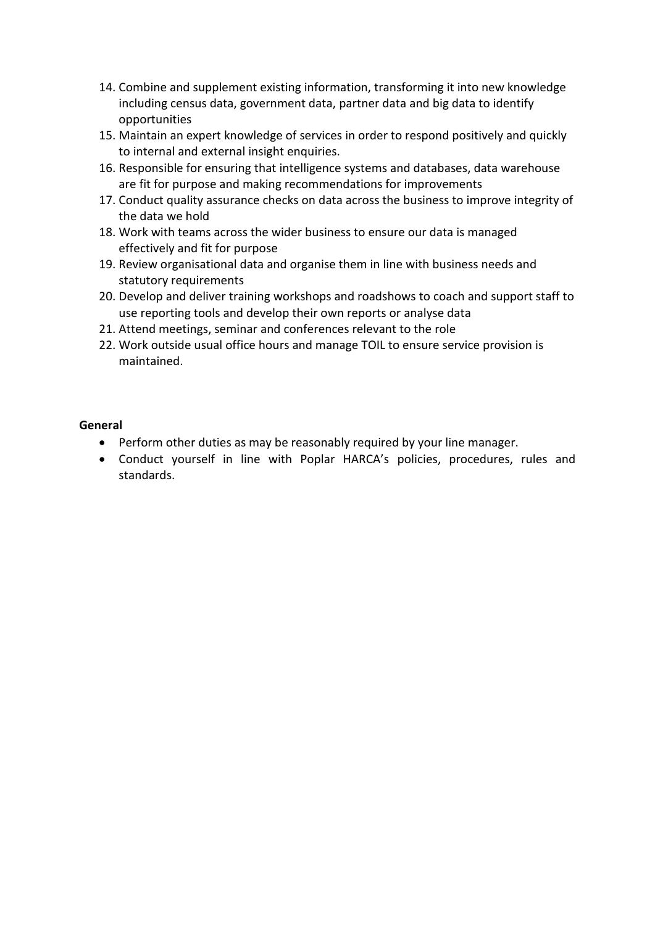- 14. Combine and supplement existing information, transforming it into new knowledge including census data, government data, partner data and big data to identify opportunities
- 15. Maintain an expert knowledge of services in order to respond positively and quickly to internal and external insight enquiries.
- 16. Responsible for ensuring that intelligence systems and databases, data warehouse are fit for purpose and making recommendations for improvements
- 17. Conduct quality assurance checks on data across the business to improve integrity of the data we hold
- 18. Work with teams across the wider business to ensure our data is managed effectively and fit for purpose
- 19. Review organisational data and organise them in line with business needs and statutory requirements
- 20. Develop and deliver training workshops and roadshows to coach and support staff to use reporting tools and develop their own reports or analyse data
- 21. Attend meetings, seminar and conferences relevant to the role
- 22. Work outside usual office hours and manage TOIL to ensure service provision is maintained.

### **General**

- Perform other duties as may be reasonably required by your line manager.
- Conduct yourself in line with Poplar HARCA's policies, procedures, rules and standards.